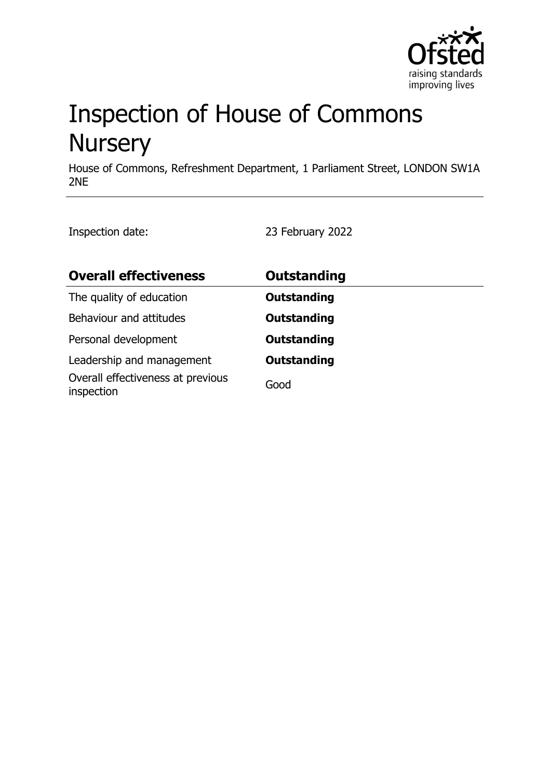

# Inspection of House of Commons **Nursery**

House of Commons, Refreshment Department, 1 Parliament Street, LONDON SW1A 2NE

Inspection date: 23 February 2022

| <b>Overall effectiveness</b>                    | <b>Outstanding</b> |
|-------------------------------------------------|--------------------|
| The quality of education                        | <b>Outstanding</b> |
| Behaviour and attitudes                         | <b>Outstanding</b> |
| Personal development                            | <b>Outstanding</b> |
| Leadership and management                       | <b>Outstanding</b> |
| Overall effectiveness at previous<br>inspection | Good               |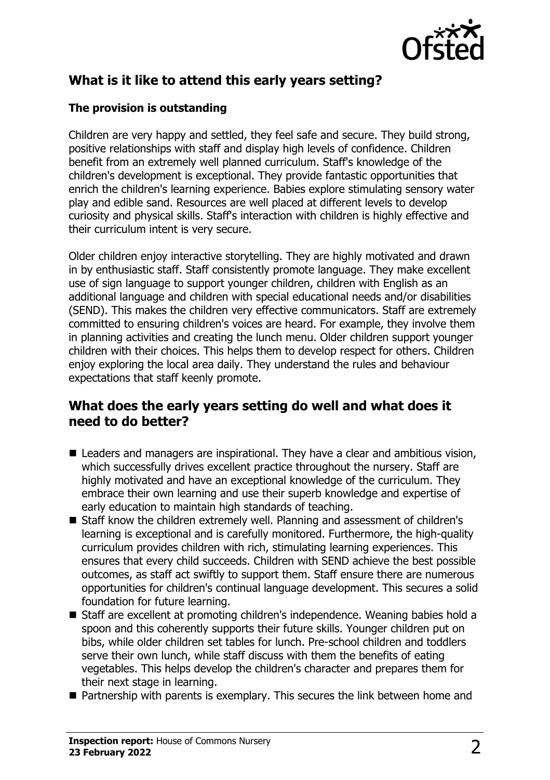

# **What is it like to attend this early years setting?**

#### **The provision is outstanding**

Children are very happy and settled, they feel safe and secure. They build strong, positive relationships with staff and display high levels of confidence. Children benefit from an extremely well planned curriculum. Staff's knowledge of the children's development is exceptional. They provide fantastic opportunities that enrich the children's learning experience. Babies explore stimulating sensory water play and edible sand. Resources are well placed at different levels to develop curiosity and physical skills. Staff's interaction with children is highly effective and their curriculum intent is very secure.

Older children enjoy interactive storytelling. They are highly motivated and drawn in by enthusiastic staff. Staff consistently promote language. They make excellent use of sign language to support younger children, children with English as an additional language and children with special educational needs and/or disabilities (SEND). This makes the children very effective communicators. Staff are extremely committed to ensuring children's voices are heard. For example, they involve them in planning activities and creating the lunch menu. Older children support younger children with their choices. This helps them to develop respect for others. Children enjoy exploring the local area daily. They understand the rules and behaviour expectations that staff keenly promote.

#### **What does the early years setting do well and what does it need to do better?**

- $\blacksquare$  Leaders and managers are inspirational. They have a clear and ambitious vision, which successfully drives excellent practice throughout the nursery. Staff are highly motivated and have an exceptional knowledge of the curriculum. They embrace their own learning and use their superb knowledge and expertise of early education to maintain high standards of teaching.
- Staff know the children extremely well. Planning and assessment of children's learning is exceptional and is carefully monitored. Furthermore, the high-quality curriculum provides children with rich, stimulating learning experiences. This ensures that every child succeeds. Children with SEND achieve the best possible outcomes, as staff act swiftly to support them. Staff ensure there are numerous opportunities for children's continual language development. This secures a solid foundation for future learning.
- Staff are excellent at promoting children's independence. Weaning babies hold a spoon and this coherently supports their future skills. Younger children put on bibs, while older children set tables for lunch. Pre-school children and toddlers serve their own lunch, while staff discuss with them the benefits of eating vegetables. This helps develop the children's character and prepares them for their next stage in learning.
- $\blacksquare$  Partnership with parents is exemplary. This secures the link between home and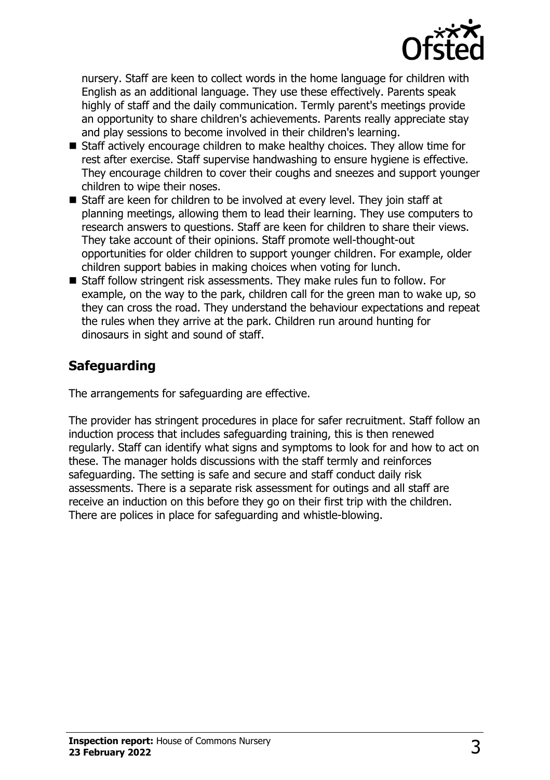

nursery. Staff are keen to collect words in the home language for children with English as an additional language. They use these effectively. Parents speak highly of staff and the daily communication. Termly parent's meetings provide an opportunity to share children's achievements. Parents really appreciate stay and play sessions to become involved in their children's learning.

- Staff actively encourage children to make healthy choices. They allow time for rest after exercise. Staff supervise handwashing to ensure hygiene is effective. They encourage children to cover their coughs and sneezes and support younger children to wipe their noses.
- Staff are keen for children to be involved at every level. They join staff at planning meetings, allowing them to lead their learning. They use computers to research answers to questions. Staff are keen for children to share their views. They take account of their opinions. Staff promote well-thought-out opportunities for older children to support younger children. For example, older children support babies in making choices when voting for lunch.
- Staff follow stringent risk assessments. They make rules fun to follow. For example, on the way to the park, children call for the green man to wake up, so they can cross the road. They understand the behaviour expectations and repeat the rules when they arrive at the park. Children run around hunting for dinosaurs in sight and sound of staff.

# **Safeguarding**

The arrangements for safeguarding are effective.

The provider has stringent procedures in place for safer recruitment. Staff follow an induction process that includes safeguarding training, this is then renewed regularly. Staff can identify what signs and symptoms to look for and how to act on these. The manager holds discussions with the staff termly and reinforces safeguarding. The setting is safe and secure and staff conduct daily risk assessments. There is a separate risk assessment for outings and all staff are receive an induction on this before they go on their first trip with the children. There are polices in place for safeguarding and whistle-blowing.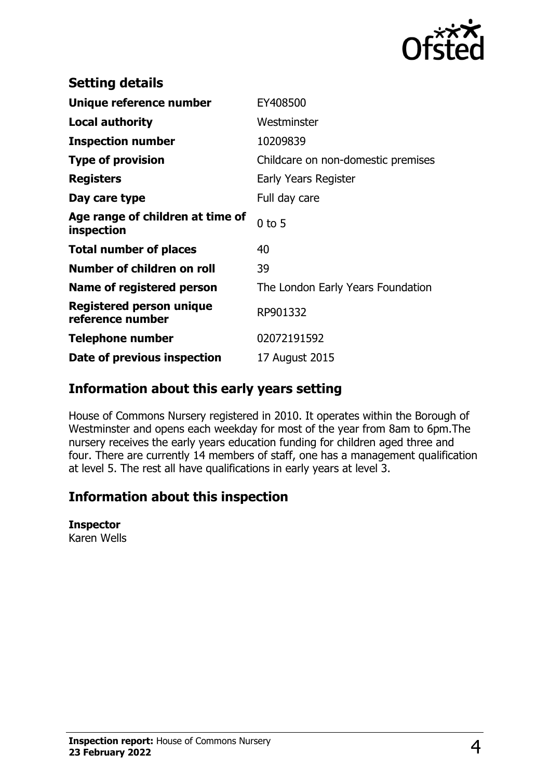

| <b>Setting details</b>                              |                                    |
|-----------------------------------------------------|------------------------------------|
| Unique reference number                             | EY408500                           |
| <b>Local authority</b>                              | Westminster                        |
| <b>Inspection number</b>                            | 10209839                           |
| <b>Type of provision</b>                            | Childcare on non-domestic premises |
| <b>Registers</b>                                    | Early Years Register               |
| Day care type                                       | Full day care                      |
| Age range of children at time of<br>inspection      | $0$ to 5                           |
| <b>Total number of places</b>                       | 40                                 |
| Number of children on roll                          | 39                                 |
| Name of registered person                           | The London Early Years Foundation  |
| <b>Registered person unique</b><br>reference number | RP901332                           |
| <b>Telephone number</b>                             | 02072191592                        |
| Date of previous inspection                         | 17 August 2015                     |

### **Information about this early years setting**

House of Commons Nursery registered in 2010. It operates within the Borough of Westminster and opens each weekday for most of the year from 8am to 6pm. The nursery receives the early years education funding for children aged three and four. There are currently 14 members of staff, one has a management qualification at level 5. The rest all have qualifications in early years at level 3.

# **Information about this inspection**

#### **Inspector**

Karen Wells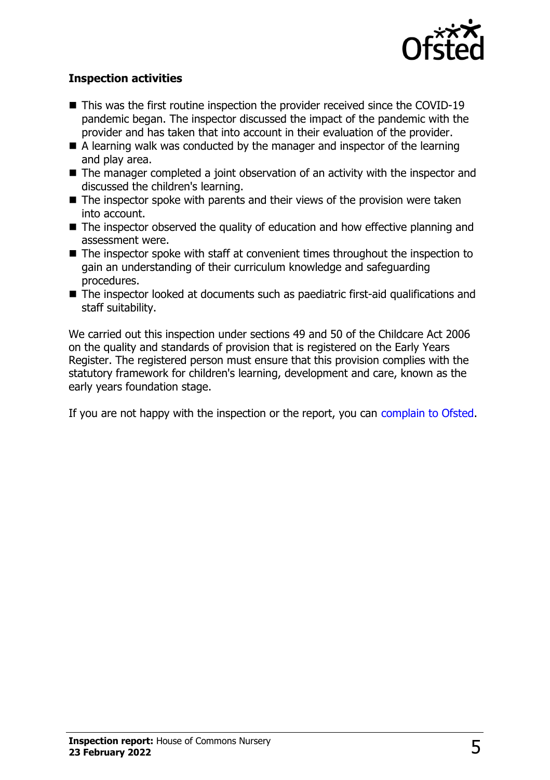

#### **Inspection activities**

- $\blacksquare$  This was the first routine inspection the provider received since the COVID-19 pandemic began. The inspector discussed the impact of the pandemic with the provider and has taken that into account in their evaluation of the provider.
- $\blacksquare$  A learning walk was conducted by the manager and inspector of the learning and play area.
- $\blacksquare$  The manager completed a joint observation of an activity with the inspector and discussed the children's learning.
- $\blacksquare$  The inspector spoke with parents and their views of the provision were taken into account.
- $\blacksquare$  The inspector observed the quality of education and how effective planning and assessment were.
- $\blacksquare$  The inspector spoke with staff at convenient times throughout the inspection to gain an understanding of their curriculum knowledge and safeguarding procedures.
- $\blacksquare$  The inspector looked at documents such as paediatric first-aid qualifications and staff suitability.

We carried out this inspection under sections 49 and 50 of the Childcare Act 2006 on the quality and standards of provision that is registered on the Early Years Register. The registered person must ensure that this provision complies with the statutory framework for children's learning, development and care, known as the early years foundation stage.

If you are not happy with the inspection or the report, you can [complain to Ofsted](http://www.gov.uk/complain-ofsted-report).